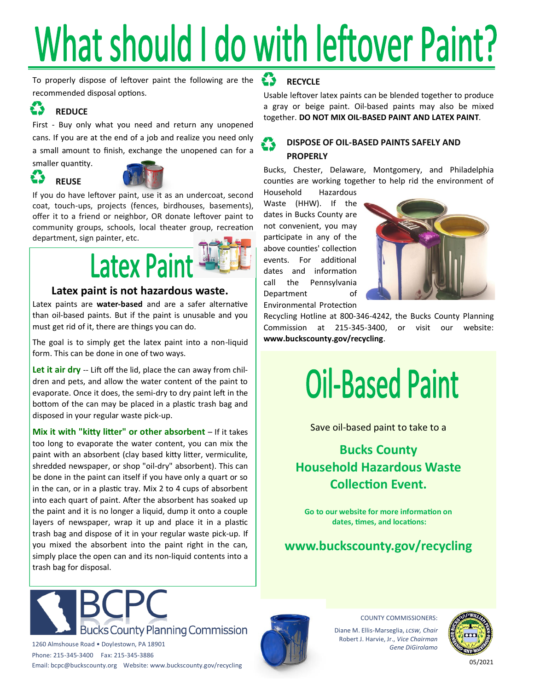## What should I do with leftover Paint?

To properly dispose of leftover paint the following are the recommended disposal options.

#### **REDUCE**

First - Buy only what you need and return any unopened cans. If you are at the end of a job and realize you need only a small amount to finish, exchange the unopened can for a

smaller quantity.

23

**REUSE**



If you do have leftover paint, use it as an undercoat, second coat, touch-ups, projects (fences, birdhouses, basements), offer it to a friend or neighbor, OR donate leftover paint to community groups, schools, local theater group, recreation department, sign painter, etc.

### **Latex Paint**

#### **Latex paint is not hazardous waste.**

Latex paints are **water-based** and are a safer alternative than oil-based paints. But if the paint is unusable and you must get rid of it, there are things you can do.

The goal is to simply get the latex paint into a non-liquid form. This can be done in one of two ways.

Let it air dry -- Lift off the lid, place the can away from children and pets, and allow the water content of the paint to evaporate. Once it does, the semi-dry to dry paint left in the bottom of the can may be placed in a plastic trash bag and disposed in your regular waste pick-up.

**Mix it with "kitty litter" or other absorbent** - If it takes too long to evaporate the water content, you can mix the paint with an absorbent (clay based kitty litter, vermiculite, shredded newspaper, or shop "oil-dry" absorbent). This can be done in the paint can itself if you have only a quart or so in the can, or in a plastic tray. Mix 2 to 4 cups of absorbent into each quart of paint. After the absorbent has soaked up the paint and it is no longer a liquid, dump it onto a couple layers of newspaper, wrap it up and place it in a plastic trash bag and dispose of it in your regular waste pick-up. If you mixed the absorbent into the paint right in the can, simply place the open can and its non-liquid contents into a trash bag for disposal.

#### **RECYCLE**

Usable leftover latex paints can be blended together to produce a gray or beige paint. Oil-based paints may also be mixed together. **DO NOT MIX OIL-BASED PAINT AND LATEX PAINT**.

#### **DISPOSE OF OIL-BASED PAINTS SAFELY AND PROPERLY**

Bucks, Chester, Delaware, Montgomery, and Philadelphia counties are working together to help rid the environment of

Household Hazardous Waste (HHW). If the dates in Bucks County are not convenient, you may participate in any of the above counties' collection events. For additional dates and information call the Pennsylvania Department of Environmental Protection



Recycling Hotline at 800-346-4242, the Bucks County Planning Commission at 215-345-3400, or visit our website: **www.buckscounty.gov/recycling**.

## **Oil-Based Paint**

Save oil-based paint to take to a

#### **Bucks County Household Hazardous Waste Collection Event.**

**Go to our website for more information on dates, times, and locations:**

**www.buckscounty.gov/recycling**



1260 Almshouse Road • Doylestown, PA 18901 Phone: 215-345-3400 Fax: 215-345-3886 Email: bcpc@buckscounty.org Website: www.buckscounty.gov/recycling



COUNTY COMMISSIONERS:

Diane M. Ellis-Marseglia, *lcsw, Chair* Robert J. Harvie, Jr., *Vice Chairman Gene DiGirolamo*